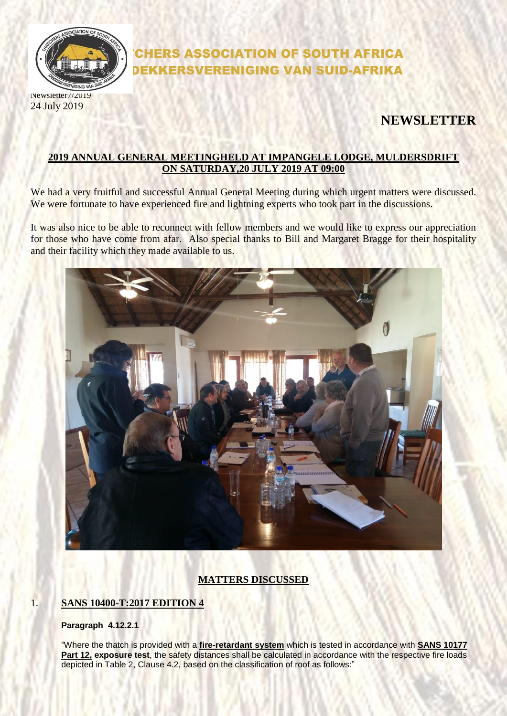

24 July 2019

# CHERS ASSOCIATION OF SOUTH AFRICA DEKKERSVERENIGING VAN SUID-AFRIKA

# **NEWSLETTER**

### **2019 ANNUAL GENERAL MEETINGHELD AT IMPANGELE LODGE, MULDERSDRIFT ON SATURDAY,20 JULY 2019 AT 09:00**

We had a very fruitful and successful Annual General Meeting during which urgent matters were discussed. We were fortunate to have experienced fire and lightning experts who took part in the discussions.

It was also nice to be able to reconnect with fellow members and we would like to express our appreciation for those who have come from afar. Also special thanks to Bill and Margaret Bragge for their hospitality and their facility which they made available to us.



# **MATTERS DISCUSSED**

### 1. **SANS 10400-T:2017 EDITION 4**

#### **Paragraph 4.12.2.1**

"Where the thatch is provided with a **fire-retardant system** which is tested in accordance with **SANS 10177**  Part 12, exposure test, the safety distances shall be calculated in accordance with the respective fire loads depicted in Table 2, Clause 4.2, based on the classification of roof as follows:"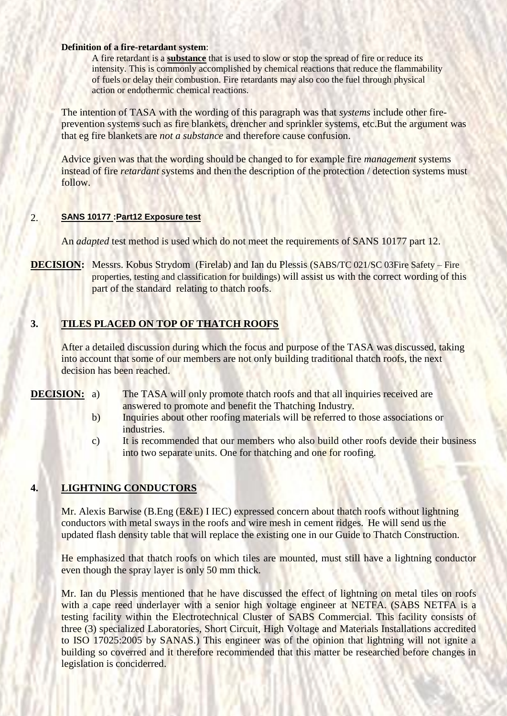#### **Definition of a fire-retardant system**:

A fire retardant is a **substance** that is used to slow or stop the spread of fire or reduce its intensity. This is commonly accomplished by chemical reactions that reduce the flammability of fuels or delay their combustion. Fire retardants may also coo the fuel through physical action or endothermic chemical reactions.

The intention of TASA with the wording of this paragraph was that *systems* include other fireprevention systems such as fire blankets, drencher and sprinkler systems, etc.But the argument was that eg fire blankets are *not a substance* and therefore cause confusion.

Advice given was that the wording should be changed to for example fire *management* systems instead of fire *retardant* systems and then the description of the protection / detection systems must follow.

#### 2. **SANS 10177 :Part12 Exposure test**

An *adapted* test method is used which do not meet the requirements of SANS 10177 part 12.

**DECISION:** Messrs. Kobus Strydom (Firelab) and Ian du Plessis (SABS/TC 021/SC 03Fire Safety – Fire properties, testing and classification for buildings) will assist us with the correct wording of this part of the standard relating to thatch roofs.

# **3. TILES PLACED ON TOP OF THATCH ROOFS**

After a detailed discussion during which the focus and purpose of the TASA was discussed, taking into account that some of our members are not only building traditional thatch roofs, the next decision has been reached.

**DECISION:** a) The TASA will only promote thatch roofs and that all inquiries received are answered to promote and benefit the Thatching Industry.

- b) Inquiries about other roofing materials will be referred to those associations or industries.
- c) It is recommended that our members who also build other roofs devide their business into two separate units. One for thatching and one for roofing.

### **4. LIGHTNING CONDUCTORS**

Mr. Alexis Barwise (B.Eng (E&E) I IEC) expressed concern about thatch roofs without lightning conductors with metal sways in the roofs and wire mesh in cement ridges. He will send us the updated flash density table that will replace the existing one in our Guide to Thatch Construction.

He emphasized that thatch roofs on which tiles are mounted, must still have a lightning conductor even though the spray layer is only 50 mm thick.

Mr. Ian du Plessis mentioned that he have discussed the effect of lightning on metal tiles on roofs with a cape reed underlayer with a senior high voltage engineer at NETFA. (SABS NETFA is a testing facility within the Electrotechnical Cluster of SABS Commercial. This facility consists of three (3) specialized Laboratories, Short Circuit, High Voltage and Materials Installations accredited to ISO 17025:2005 by SANAS.) This engineer was of the opinion that lightning will not ignite a building so coverred and it therefore recommended that this matter be researched before changes in legislation is conciderred.